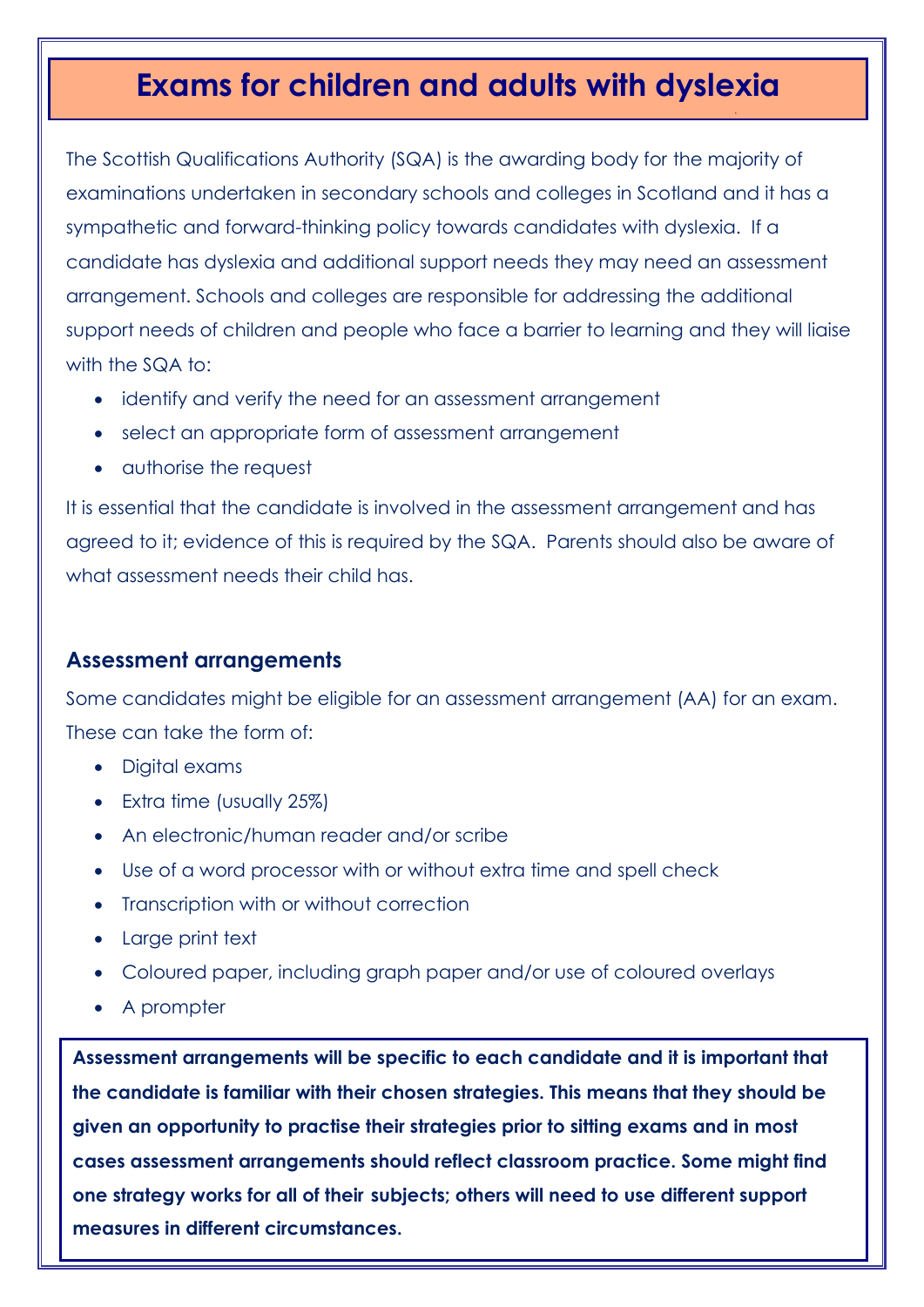## **Exams for children and adults with dyslexia**

The Scottish Qualifications Authority (SQA) is the awarding body for the majority of examinations undertaken in secondary schools and colleges in Scotland and it has a sympathetic and forward-thinking policy towards candidates with dyslexia. If a candidate has dyslexia and additional support needs they may need an assessment arrangement. Schools and colleges are responsible for addressing the additional support needs of children and people who face a barrier to learning and they will liaise with the SQA to:

- identify and verify the need for an assessment arrangement
- select an appropriate form of assessment arrangement
- authorise the request

It is essential that the candidate is involved in the assessment arrangement and has agreed to it; evidence of this is required by the SQA. Parents should also be aware of what assessment needs their child has.

## **Assessment arrangements**

Some candidates might be eligible for an assessment arrangement (AA) for an exam. These can take the form of:

- Digital exams
- Extra time (usually 25%)
- An electronic/human reader and/or scribe
- Use of a word processor with or without extra time and spell check
- Transcription with or without correction
- Large print text
- Coloured paper, including graph paper and/or use of coloured overlays
- A prompter

**Assessment arrangements will be specific to each candidate and it is important that the candidate is familiar with their chosen strategies. This means that they should be given an opportunity to practise their strategies prior to sitting exams and in most cases assessment arrangements should reflect classroom practice. Some might find one strategy works for all of their subjects; others will need to use different support measures in different circumstances.**